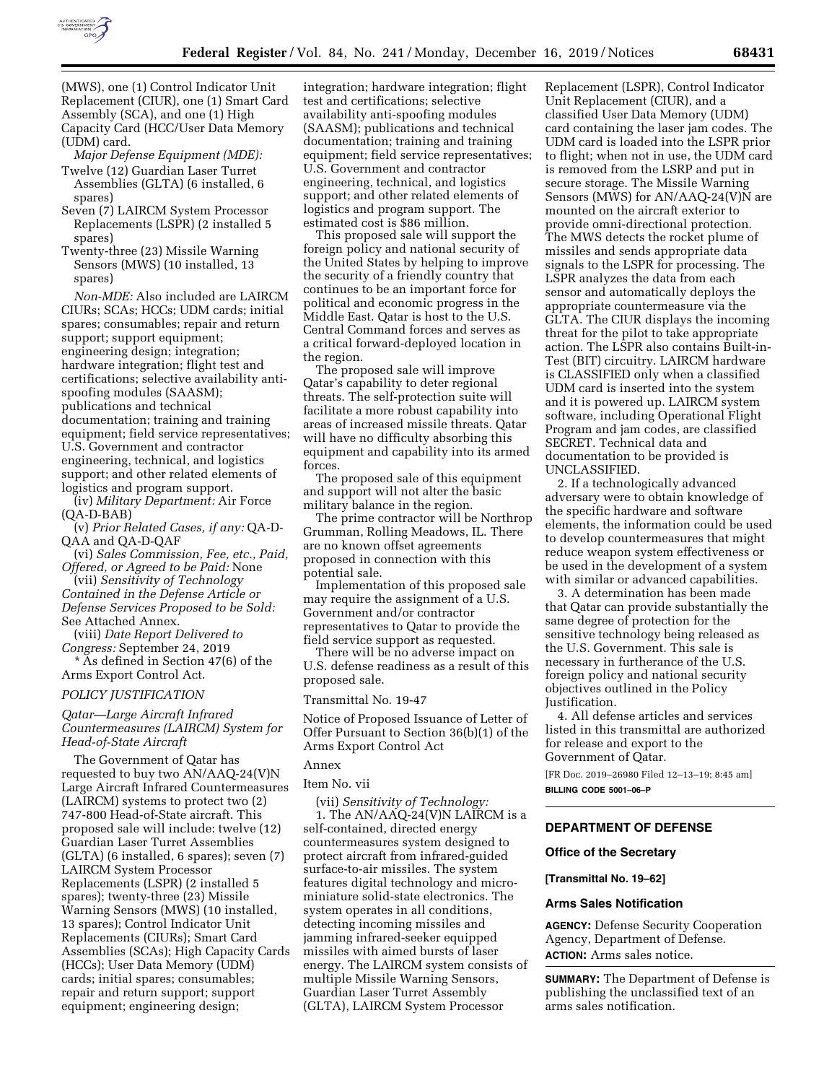

(MWS), one (1) Control Indicator Unit Replacement (CIUR), one (1) Smart Card Assembly (SCA), and one (1) High Capacity Card (HCC/User Data Memory

(UDM) card. *Major Defense Equipment (MDE):*  Twelve (12) Guardian Laser Turret Assemblies (GLTA) (6 installed, 6 spares)

- Seven (7) LAIRCM System Processor Replacements (LSPR) (2 installed 5 spares)
- Twenty-three (23) Missile Warning Sensors (MWS) (10 installed, 13 spares)

*Non-MDE:* Also included are LAIRCM CIURs; SCAs; HCCs; UDM cards; initial spares; consumables; repair and return support; support equipment; engineering design; integration; hardware integration; flight test and certifications; selective availability antispoofing modules (SAASM); publications and technical documentation; training and training equipment; field service representatives; U.S. Government and contractor engineering, technical, and logistics support; and other related elements of logistics and program support.

(iv) *Military Department:* Air Force (QA-D-BAB)

(v) *Prior Related Cases, if any:* QA-D-QAA and QA-D-QAF

(vi) *Sales Commission, Fee, etc., Paid, Offered, or Agreed to be Paid:* None

(vii) *Sensitivity of Technology Contained in the Defense Article or Defense Services Proposed to be Sold:*  See Attached Annex.

(viii) *Date Report Delivered to Congress:* September 24, 2019

\* As defined in Section 47(6) of the Arms Export Control Act.

### *POLICY JUSTIFICATION*

# *Qatar—Large Aircraft Infrared Countermeasures (LAIRCM) System for Head-of-State Aircraft*

The Government of Qatar has requested to buy two AN/AAQ-24(V)N Large Aircraft Infrared Countermeasures (LAIRCM) systems to protect two (2) 747-800 Head-of-State aircraft. This proposed sale will include: twelve (12) Guardian Laser Turret Assemblies (GLTA) (6 installed, 6 spares); seven (7) LAIRCM System Processor Replacements (LSPR) (2 installed 5 spares); twenty-three (23) Missile Warning Sensors (MWS) (10 installed, 13 spares); Control Indicator Unit Replacements (CIURs); Smart Card Assemblies (SCAs); High Capacity Cards (HCCs); User Data Memory (UDM) cards; initial spares; consumables; repair and return support; support equipment; engineering design;

integration; hardware integration; flight test and certifications; selective availability anti-spoofing modules (SAASM); publications and technical documentation; training and training equipment; field service representatives; U.S. Government and contractor engineering, technical, and logistics support; and other related elements of logistics and program support. The estimated cost is \$86 million.

This proposed sale will support the foreign policy and national security of the United States by helping to improve the security of a friendly country that continues to be an important force for political and economic progress in the Middle East. Qatar is host to the U.S. Central Command forces and serves as a critical forward-deployed location in the region.

The proposed sale will improve Qatar's capability to deter regional threats. The self-protection suite will facilitate a more robust capability into areas of increased missile threats. Qatar will have no difficulty absorbing this equipment and capability into its armed forces.

The proposed sale of this equipment and support will not alter the basic military balance in the region.

The prime contractor will be Northrop Grumman, Rolling Meadows, IL. There are no known offset agreements proposed in connection with this potential sale.

Implementation of this proposed sale may require the assignment of a U.S. Government and/or contractor representatives to Qatar to provide the field service support as requested.

There will be no adverse impact on U.S. defense readiness as a result of this proposed sale.

# Transmittal No. 19-47

Notice of Proposed Issuance of Letter of Offer Pursuant to Section 36(b)(1) of the Arms Export Control Act

# Annex

Item No. vii

(vii) *Sensitivity of Technology:* 

1. The AN/AAQ-24(V)N LAIRCM is a self-contained, directed energy countermeasures system designed to protect aircraft from infrared-guided surface-to-air missiles. The system features digital technology and microminiature solid-state electronics. The system operates in all conditions, detecting incoming missiles and jamming infrared-seeker equipped missiles with aimed bursts of laser energy. The LAIRCM system consists of multiple Missile Warning Sensors, Guardian Laser Turret Assembly (GLTA), LAIRCM System Processor

Replacement (LSPR), Control Indicator Unit Replacement (CIUR), and a classified User Data Memory (UDM) card containing the laser jam codes. The UDM card is loaded into the LSPR prior to flight; when not in use, the UDM card is removed from the LSRP and put in secure storage. The Missile Warning Sensors (MWS) for AN/AAQ-24(V)N are mounted on the aircraft exterior to provide omni-directional protection. The MWS detects the rocket plume of missiles and sends appropriate data signals to the LSPR for processing. The LSPR analyzes the data from each sensor and automatically deploys the appropriate countermeasure via the GLTA. The CIUR displays the incoming threat for the pilot to take appropriate action. The LSPR also contains Built-in-Test (BIT) circuitry. LAIRCM hardware is CLASSIFIED only when a classified UDM card is inserted into the system and it is powered up. LAIRCM system software, including Operational Flight Program and jam codes, are classified SECRET. Technical data and documentation to be provided is UNCLASSIFIED.

2. If a technologically advanced adversary were to obtain knowledge of the specific hardware and software elements, the information could be used to develop countermeasures that might reduce weapon system effectiveness or be used in the development of a system with similar or advanced capabilities.

3. A determination has been made that Qatar can provide substantially the same degree of protection for the sensitive technology being released as the U.S. Government. This sale is necessary in furtherance of the U.S. foreign policy and national security objectives outlined in the Policy Justification.

4. All defense articles and services listed in this transmittal are authorized for release and export to the Government of Qatar.

[FR Doc. 2019–26980 Filed 12–13–19; 8:45 am] **BILLING CODE 5001–06–P** 

# **DEPARTMENT OF DEFENSE**

### **Office of the Secretary**

**[Transmittal No. 19–62]** 

## **Arms Sales Notification**

**AGENCY:** Defense Security Cooperation Agency, Department of Defense. **ACTION:** Arms sales notice.

**SUMMARY:** The Department of Defense is publishing the unclassified text of an arms sales notification.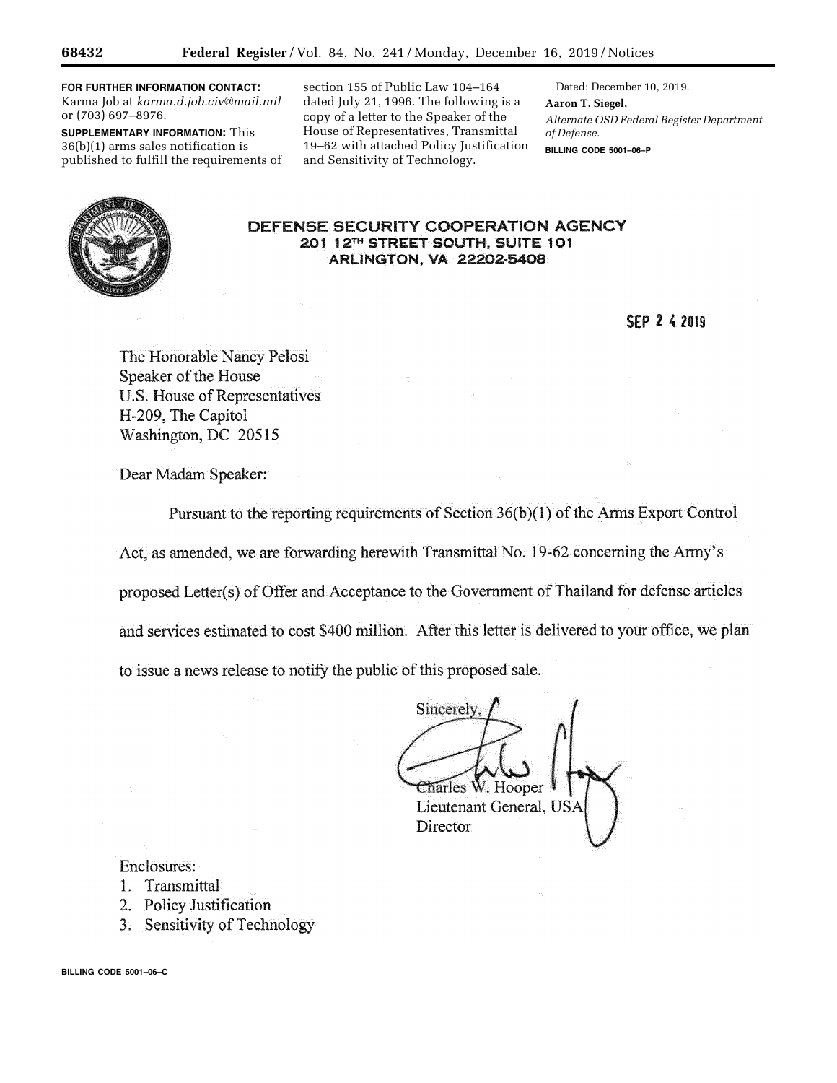**FOR FURTHER INFORMATION CONTACT:**  Karma Job at *[karma.d.job.civ@mail.mil](mailto:karma.d.job.civ@mail.mil)*  or (703) 697–8976.

**SUPPLEMENTARY INFORMATION:** This 36(b)(1) arms sales notification is published to fulfill the requirements of

section 155 of Public Law 104–164 dated July 21, 1996. The following is a copy of a letter to the Speaker of the House of Representatives, Transmittal 19–62 with attached Policy Justification and Sensitivity of Technology.

Dated: December 10, 2019. **Aaron T. Siegel,**  *Alternate OSD Federal Register Department of Defense.*  **BILLING CODE 5001–06–P** 

# **DEFENSE SECURITY COOPERATION AGENCY 201 12™ STREET SOUTH, SUtrE 101 ARLINGTON. VA 22202-5408**

**SEP 2 (2019** 

The Honorable Nancy Pelosi Speaker of the House U.S. House of Representatives H-209, The Capitol Washington, DC 20515

Dear Madam Speaker;

Pursuant to the reporting requirements of Section  $36(b)(1)$  of the Arms Export Control Act, as amended, we are forwarding herewith Transmittal No. 19-62 concerning the Army's proposed Letter(s) of Offer and Acceptance to the Government of Thailand for defense articles and services estimated to cost \$400 million. After this letter is delivered to your office, we plan to issue a news release to notify the public of this proposed sale.

Sincerely ·.·. '  $\epsilon$  arles W. Hooper

Lieutenant General, USA **Director** 

Enclosures:

- 1. Transmittal
- 2. Policy Justification
- 3. Sensitivity of Technology

**BILLING CODE 5001–06–C**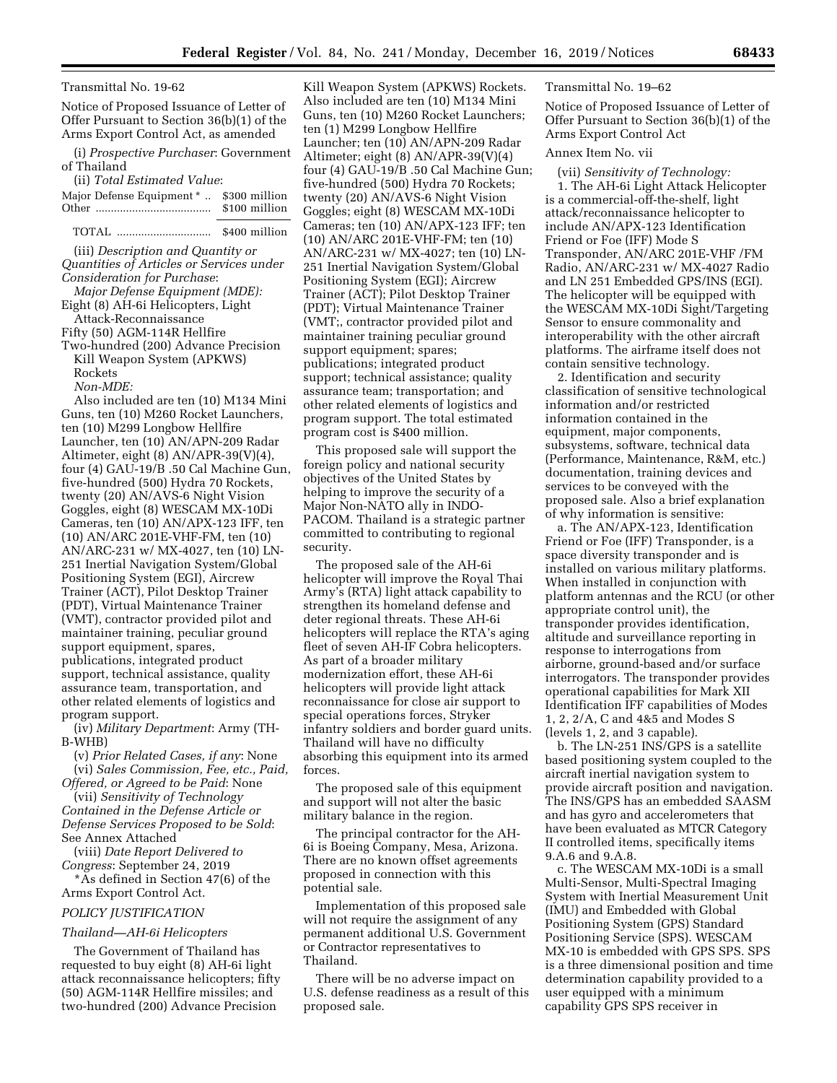### Transmittal No. 19-62

Notice of Proposed Issuance of Letter of Offer Pursuant to Section 36(b)(1) of the Arms Export Control Act, as amended

(i) *Prospective Purchaser*: Government of Thailand

(ii) *Total Estimated Value*:

| Major Defense Equipment *  \$300 million |               |
|------------------------------------------|---------------|
|                                          | \$100 million |

TOTAL ............................... \$400 million

(iii) *Description and Quantity or Quantities of Articles or Services under Consideration for Purchase*:

*Major Defense Equipment (MDE):*  Eight (8) AH-6i Helicopters, Light Attack-Reconnaissance

Fifty (50) AGM-114R Hellfire

Two-hundred (200) Advance Precision Kill Weapon System (APKWS) Rockets

*Non-MDE:* 

Also included are ten (10) M134 Mini Guns, ten (10) M260 Rocket Launchers, ten (10) M299 Longbow Hellfire Launcher, ten (10) AN/APN-209 Radar Altimeter, eight (8) AN/APR-39(V)(4), four (4) GAU-19/B .50 Cal Machine Gun, five-hundred (500) Hydra 70 Rockets, twenty (20) AN/AVS-6 Night Vision Goggles, eight (8) WESCAM MX-10Di Cameras, ten (10) AN/APX-123 IFF, ten (10) AN/ARC 201E-VHF-FM, ten (10) AN/ARC-231 w/ MX-4027, ten (10) LN-251 Inertial Navigation System/Global Positioning System (EGI), Aircrew Trainer (ACT), Pilot Desktop Trainer (PDT), Virtual Maintenance Trainer (VMT), contractor provided pilot and maintainer training, peculiar ground support equipment, spares, publications, integrated product support, technical assistance, quality assurance team, transportation, and other related elements of logistics and program support.

(iv) *Military Department*: Army (TH-B-WHB)

(v) *Prior Related Cases, if any*: None (vi) *Sales Commission, Fee, etc., Paid, Offered, or Agreed to be Paid*: None

(vii) *Sensitivity of Technology Contained in the Defense Article or Defense Services Proposed to be Sold*: See Annex Attached

(viii) *Date Report Delivered to Congress*: September 24, 2019

\*As defined in Section 47(6) of the Arms Export Control Act.

### *POLICY JUSTIFICATION*

## *Thailand—AH-6i Helicopters*

The Government of Thailand has requested to buy eight (8) AH-6i light attack reconnaissance helicopters; fifty (50) AGM-114R Hellfire missiles; and two-hundred (200) Advance Precision

Kill Weapon System (APKWS) Rockets. Also included are ten (10) M134 Mini Guns, ten (10) M260 Rocket Launchers; ten (1) M299 Longbow Hellfire Launcher; ten (10) AN/APN-209 Radar Altimeter; eight (8) AN/APR-39(V)(4) four (4) GAU-19/B .50 Cal Machine Gun; five-hundred (500) Hydra 70 Rockets; twenty (20) AN/AVS-6 Night Vision Goggles; eight (8) WESCAM MX-10Di Cameras; ten (10) AN/APX-123 IFF; ten (10) AN/ARC 201E-VHF-FM; ten (10) AN/ARC-231 w/ MX-4027; ten (10) LN-251 Inertial Navigation System/Global Positioning System (EGI); Aircrew Trainer (ACT); Pilot Desktop Trainer (PDT); Virtual Maintenance Trainer (VMT;, contractor provided pilot and maintainer training peculiar ground support equipment; spares; publications; integrated product support; technical assistance; quality assurance team; transportation; and other related elements of logistics and program support. The total estimated program cost is \$400 million.

This proposed sale will support the foreign policy and national security objectives of the United States by helping to improve the security of a Major Non-NATO ally in INDO-PACOM. Thailand is a strategic partner committed to contributing to regional security.

The proposed sale of the AH-6i helicopter will improve the Royal Thai Army's (RTA) light attack capability to strengthen its homeland defense and deter regional threats. These AH-6i helicopters will replace the RTA's aging fleet of seven AH-IF Cobra helicopters. As part of a broader military modernization effort, these AH-6i helicopters will provide light attack reconnaissance for close air support to special operations forces, Stryker infantry soldiers and border guard units. Thailand will have no difficulty absorbing this equipment into its armed forces.

The proposed sale of this equipment and support will not alter the basic military balance in the region.

The principal contractor for the AH-6i is Boeing Company, Mesa, Arizona. There are no known offset agreements proposed in connection with this potential sale.

Implementation of this proposed sale will not require the assignment of any permanent additional U.S. Government or Contractor representatives to Thailand.

There will be no adverse impact on U.S. defense readiness as a result of this proposed sale.

Transmittal No. 19–62

Notice of Proposed Issuance of Letter of Offer Pursuant to Section 36(b)(1) of the Arms Export Control Act

### Annex Item No. vii

(vii) *Sensitivity of Technology:* 

1. The AH-6i Light Attack Helicopter is a commercial-off-the-shelf, light attack/reconnaissance helicopter to include AN/APX-123 Identification Friend or Foe (IFF) Mode S Transponder, AN/ARC 201E-VHF /FM Radio, AN/ARC-231 w/ MX-4027 Radio and LN 251 Embedded GPS/INS (EGI). The helicopter will be equipped with the WESCAM MX-10Di Sight/Targeting Sensor to ensure commonality and interoperability with the other aircraft platforms. The airframe itself does not contain sensitive technology.

2. Identification and security classification of sensitive technological information and/or restricted information contained in the equipment, major components, subsystems, software, technical data (Performance, Maintenance, R&M, etc.) documentation, training devices and services to be conveyed with the proposed sale. Also a brief explanation of why information is sensitive:

a. The AN/APX-123, Identification Friend or Foe (IFF) Transponder, is a space diversity transponder and is installed on various military platforms. When installed in conjunction with platform antennas and the RCU (or other appropriate control unit), the transponder provides identification, altitude and surveillance reporting in response to interrogations from airborne, ground-based and/or surface interrogators. The transponder provides operational capabilities for Mark XII Identification IFF capabilities of Modes 1, 2, 2/A, C and 4&5 and Modes S (levels 1, 2, and 3 capable).

b. The LN-251 INS/GPS is a satellite based positioning system coupled to the aircraft inertial navigation system to provide aircraft position and navigation. The INS/GPS has an embedded SAASM and has gyro and accelerometers that have been evaluated as MTCR Category II controlled items, specifically items 9.A.6 and 9.A.8.

c. The WESCAM MX-10Di is a small Multi-Sensor, Multi-Spectral Imaging System with Inertial Measurement Unit (IMU) and Embedded with Global Positioning System (GPS) Standard Positioning Service (SPS). WESCAM MX-10 is embedded with GPS SPS. SPS is a three dimensional position and time determination capability provided to a user equipped with a minimum capability GPS SPS receiver in